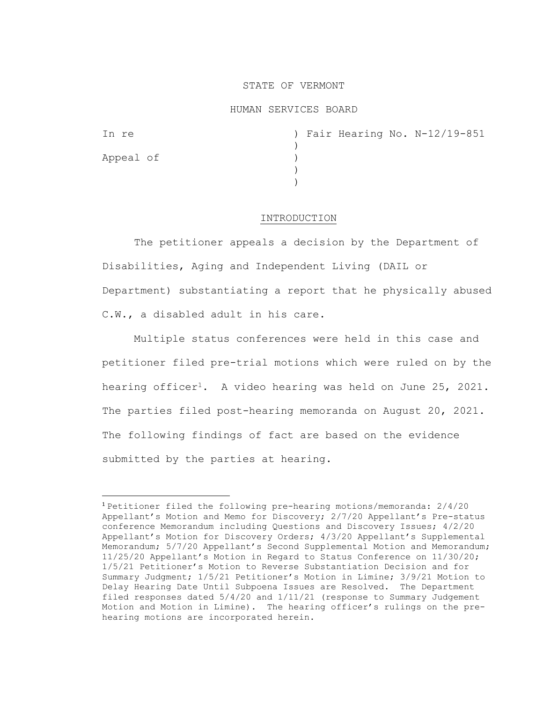# STATE OF VERMONT

#### HUMAN SERVICES BOARD

|  |  | ) Fair Hearing No. N-12/19-851 |
|--|--|--------------------------------|

## INTRODUCTION

The petitioner appeals a decision by the Department of Disabilities, Aging and Independent Living (DAIL or Department) substantiating a report that he physically abused C.W., a disabled adult in his care.

Multiple status conferences were held in this case and petitioner filed pre-trial motions which were ruled on by the hearing officer1. A video hearing was held on June 25, 2021. The parties filed post-hearing memoranda on August 20, 2021. The following findings of fact are based on the evidence submitted by the parties at hearing.

<sup>1</sup> Petitioner filed the following pre-hearing motions/memoranda: 2/4/20 Appellant's Motion and Memo for Discovery; 2/7/20 Appellant's Pre-status conference Memorandum including Questions and Discovery Issues; 4/2/20 Appellant's Motion for Discovery Orders; 4/3/20 Appellant's Supplemental Memorandum; 5/7/20 Appellant's Second Supplemental Motion and Memorandum; 11/25/20 Appellant's Motion in Regard to Status Conference on 11/30/20; 1/5/21 Petitioner's Motion to Reverse Substantiation Decision and for Summary Judgment; 1/5/21 Petitioner's Motion in Limine; 3/9/21 Motion to Delay Hearing Date Until Subpoena Issues are Resolved. The Department filed responses dated  $5/4/20$  and  $1/11/21$  (response to Summary Judgement Motion and Motion in Limine). The hearing officer's rulings on the prehearing motions are incorporated herein.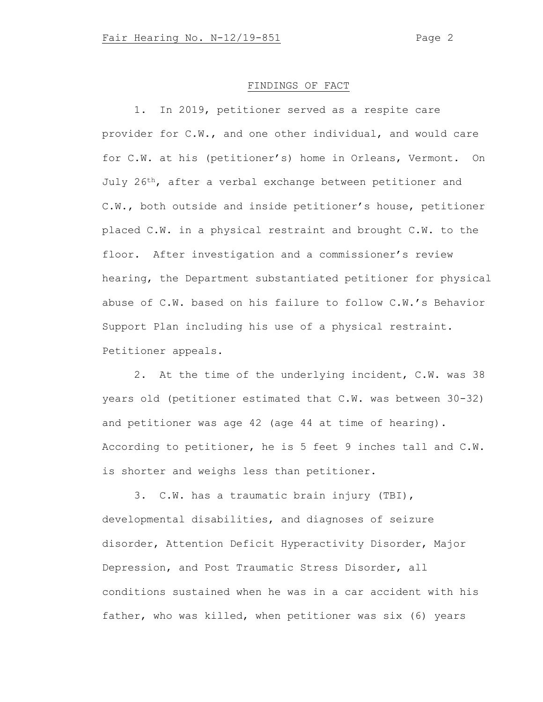# FINDINGS OF FACT

1. In 2019, petitioner served as a respite care provider for C.W., and one other individual, and would care for C.W. at his (petitioner's) home in Orleans, Vermont. On July 26th, after a verbal exchange between petitioner and C.W., both outside and inside petitioner's house, petitioner placed C.W. in a physical restraint and brought C.W. to the floor. After investigation and a commissioner's review hearing, the Department substantiated petitioner for physical abuse of C.W. based on his failure to follow C.W.'s Behavior Support Plan including his use of a physical restraint. Petitioner appeals.

2. At the time of the underlying incident, C.W. was 38 years old (petitioner estimated that C.W. was between 30-32) and petitioner was age 42 (age 44 at time of hearing). According to petitioner, he is 5 feet 9 inches tall and C.W. is shorter and weighs less than petitioner.

3. C.W. has a traumatic brain injury (TBI), developmental disabilities, and diagnoses of seizure disorder, Attention Deficit Hyperactivity Disorder, Major Depression, and Post Traumatic Stress Disorder, all conditions sustained when he was in a car accident with his father, who was killed, when petitioner was six (6) years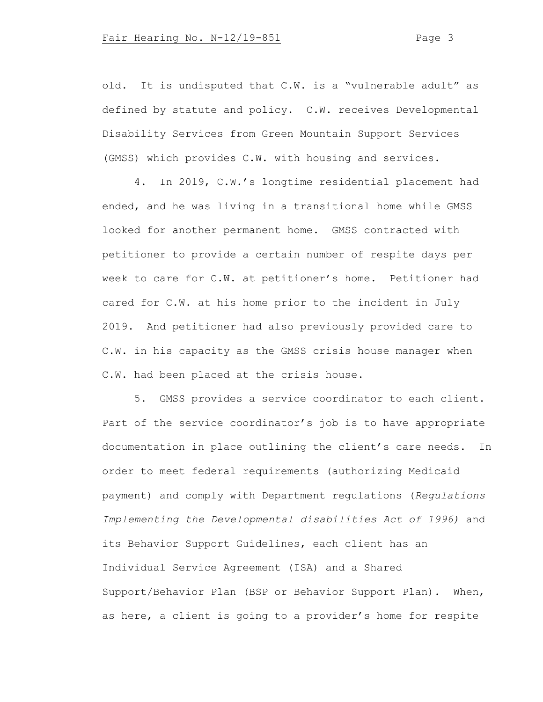old. It is undisputed that C.W. is a "vulnerable adult" as defined by statute and policy. C.W. receives Developmental Disability Services from Green Mountain Support Services (GMSS) which provides C.W. with housing and services.

4. In 2019, C.W.'s longtime residential placement had ended, and he was living in a transitional home while GMSS looked for another permanent home. GMSS contracted with petitioner to provide a certain number of respite days per week to care for C.W. at petitioner's home. Petitioner had cared for C.W. at his home prior to the incident in July 2019. And petitioner had also previously provided care to C.W. in his capacity as the GMSS crisis house manager when C.W. had been placed at the crisis house.

5. GMSS provides a service coordinator to each client. Part of the service coordinator's job is to have appropriate documentation in place outlining the client's care needs. In order to meet federal requirements (authorizing Medicaid payment) and comply with Department regulations (*Regulations Implementing the Developmental disabilities Act of 1996)* and its Behavior Support Guidelines, each client has an Individual Service Agreement (ISA) and a Shared Support/Behavior Plan (BSP or Behavior Support Plan). When, as here, a client is going to a provider's home for respite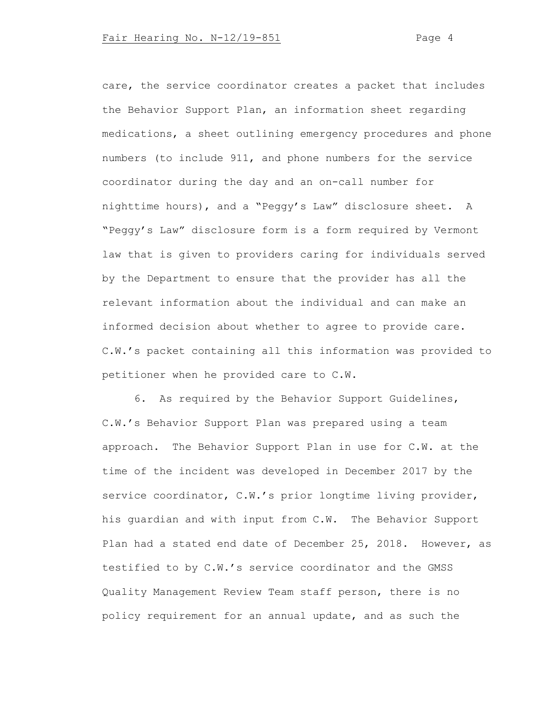care, the service coordinator creates a packet that includes the Behavior Support Plan, an information sheet regarding medications, a sheet outlining emergency procedures and phone numbers (to include 911, and phone numbers for the service coordinator during the day and an on-call number for nighttime hours), and a "Peggy's Law" disclosure sheet. A "Peggy's Law" disclosure form is a form required by Vermont law that is given to providers caring for individuals served by the Department to ensure that the provider has all the relevant information about the individual and can make an informed decision about whether to agree to provide care. C.W.'s packet containing all this information was provided to petitioner when he provided care to C.W.

6. As required by the Behavior Support Guidelines, C.W.'s Behavior Support Plan was prepared using a team approach. The Behavior Support Plan in use for C.W. at the time of the incident was developed in December 2017 by the service coordinator, C.W.'s prior longtime living provider, his guardian and with input from C.W. The Behavior Support Plan had a stated end date of December 25, 2018. However, as testified to by C.W.'s service coordinator and the GMSS Quality Management Review Team staff person, there is no policy requirement for an annual update, and as such the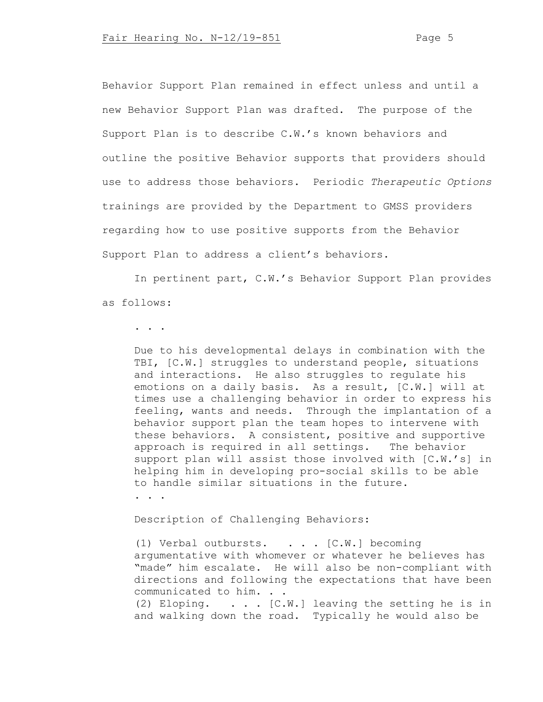Behavior Support Plan remained in effect unless and until a new Behavior Support Plan was drafted. The purpose of the Support Plan is to describe C.W.'s known behaviors and outline the positive Behavior supports that providers should use to address those behaviors. Periodic *Therapeutic Options* trainings are provided by the Department to GMSS providers regarding how to use positive supports from the Behavior Support Plan to address a client's behaviors.

In pertinent part, C.W.'s Behavior Support Plan provides as follows:

. . .

Due to his developmental delays in combination with the TBI, [C.W.] struggles to understand people, situations and interactions. He also struggles to regulate his emotions on a daily basis. As a result, [C.W.] will at times use a challenging behavior in order to express his feeling, wants and needs. Through the implantation of a behavior support plan the team hopes to intervene with these behaviors. A consistent, positive and supportive approach is required in all settings. The behavior support plan will assist those involved with [C.W.'s] in helping him in developing pro-social skills to be able to handle similar situations in the future.

. . .

Description of Challenging Behaviors:

(1) Verbal outbursts. . . . [C.W.] becoming argumentative with whomever or whatever he believes has "made" him escalate. He will also be non-compliant with directions and following the expectations that have been communicated to him. . . (2) Eloping. . . . [C.W.] leaving the setting he is in and walking down the road. Typically he would also be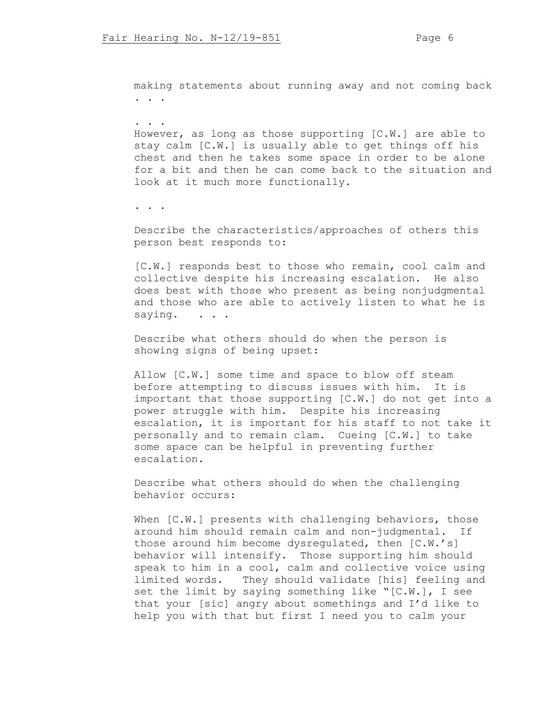making statements about running away and not coming back . . .

. . . However, as long as those supporting [C.W.] are able to stay calm [C.W.] is usually able to get things off his chest and then he takes some space in order to be alone for a bit and then he can come back to the situation and look at it much more functionally.

. . .

Describe the characteristics/approaches of others this person best responds to:

[C.W.] responds best to those who remain, cool calm and collective despite his increasing escalation. He also does best with those who present as being nonjudgmental and those who are able to actively listen to what he is saying. . . .

Describe what others should do when the person is showing signs of being upset:

Allow [C.W.] some time and space to blow off steam before attempting to discuss issues with him. It is important that those supporting [C.W.] do not get into a power struggle with him. Despite his increasing escalation, it is important for his staff to not take it personally and to remain clam. Cueing [C.W.] to take some space can be helpful in preventing further escalation.

Describe what others should do when the challenging behavior occurs:

When [C.W.] presents with challenging behaviors, those around him should remain calm and non-judgmental. If those around him become dysregulated, then [C.W.'s] behavior will intensify. Those supporting him should speak to him in a cool, calm and collective voice using limited words. They should validate [his] feeling and set the limit by saying something like " $[C.W.]$ , I see that your [sic] angry about somethings and I'd like to help you with that but first I need you to calm your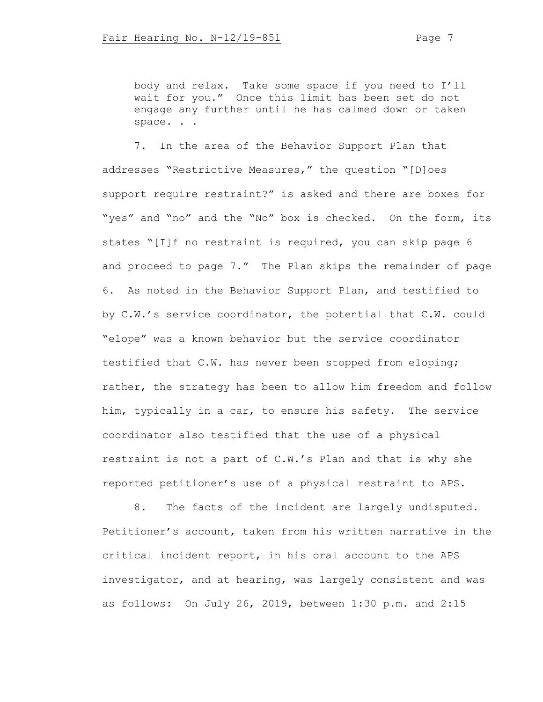body and relax. Take some space if you need to I'll wait for you." Once this limit has been set do not engage any further until he has calmed down or taken space. . .

7. In the area of the Behavior Support Plan that addresses "Restrictive Measures," the question "[D]oes support require restraint?" is asked and there are boxes for "yes" and "no" and the "No" box is checked. On the form, its states "[I]f no restraint is required, you can skip page 6 and proceed to page 7." The Plan skips the remainder of page 6. As noted in the Behavior Support Plan, and testified to by C.W.'s service coordinator, the potential that C.W. could "elope" was a known behavior but the service coordinator testified that C.W. has never been stopped from eloping; rather, the strategy has been to allow him freedom and follow him, typically in a car, to ensure his safety. The service coordinator also testified that the use of a physical restraint is not a part of C.W.'s Plan and that is why she reported petitioner's use of a physical restraint to APS.

8. The facts of the incident are largely undisputed. Petitioner's account, taken from his written narrative in the critical incident report, in his oral account to the APS investigator, and at hearing, was largely consistent and was as follows: On July 26, 2019, between 1:30 p.m. and 2:15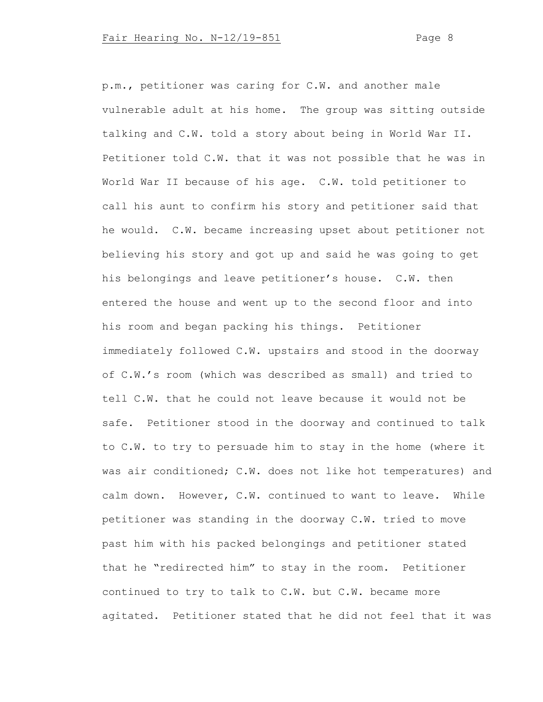p.m., petitioner was caring for C.W. and another male vulnerable adult at his home. The group was sitting outside talking and C.W. told a story about being in World War II. Petitioner told C.W. that it was not possible that he was in World War II because of his age. C.W. told petitioner to call his aunt to confirm his story and petitioner said that he would. C.W. became increasing upset about petitioner not believing his story and got up and said he was going to get his belongings and leave petitioner's house. C.W. then entered the house and went up to the second floor and into his room and began packing his things. Petitioner immediately followed C.W. upstairs and stood in the doorway of C.W.'s room (which was described as small) and tried to tell C.W. that he could not leave because it would not be safe. Petitioner stood in the doorway and continued to talk to C.W. to try to persuade him to stay in the home (where it was air conditioned; C.W. does not like hot temperatures) and calm down. However, C.W. continued to want to leave. While petitioner was standing in the doorway C.W. tried to move past him with his packed belongings and petitioner stated that he "redirected him" to stay in the room. Petitioner continued to try to talk to C.W. but C.W. became more agitated. Petitioner stated that he did not feel that it was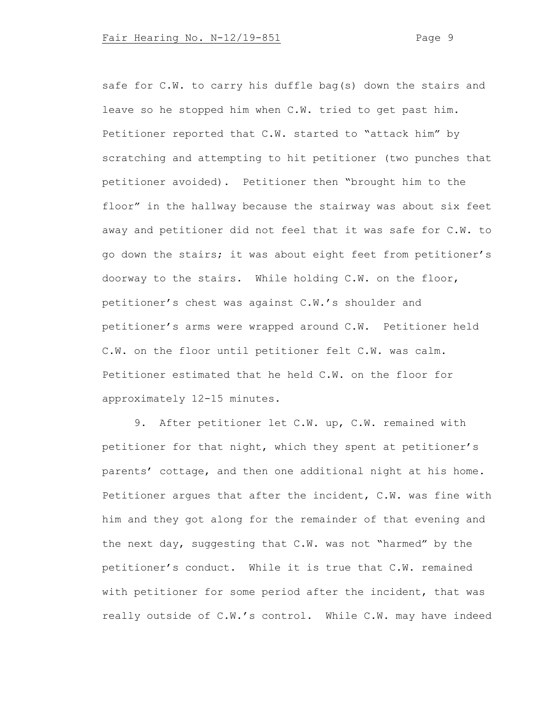safe for C.W. to carry his duffle bag(s) down the stairs and leave so he stopped him when C.W. tried to get past him. Petitioner reported that C.W. started to "attack him" by scratching and attempting to hit petitioner (two punches that petitioner avoided). Petitioner then "brought him to the floor" in the hallway because the stairway was about six feet away and petitioner did not feel that it was safe for C.W. to go down the stairs; it was about eight feet from petitioner's doorway to the stairs. While holding C.W. on the floor, petitioner's chest was against C.W.'s shoulder and petitioner's arms were wrapped around C.W. Petitioner held C.W. on the floor until petitioner felt C.W. was calm. Petitioner estimated that he held C.W. on the floor for approximately 12-15 minutes.

9. After petitioner let C.W. up, C.W. remained with petitioner for that night, which they spent at petitioner's parents' cottage, and then one additional night at his home. Petitioner argues that after the incident, C.W. was fine with him and they got along for the remainder of that evening and the next day, suggesting that C.W. was not "harmed" by the petitioner's conduct. While it is true that C.W. remained with petitioner for some period after the incident, that was really outside of C.W.'s control. While C.W. may have indeed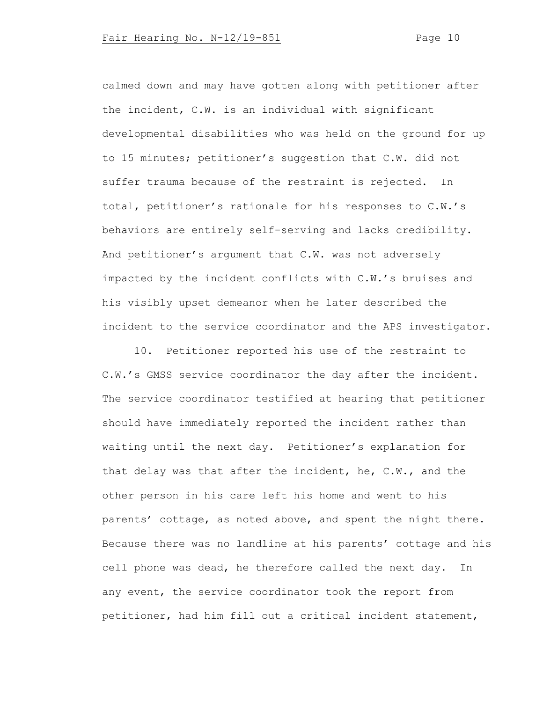calmed down and may have gotten along with petitioner after the incident, C.W. is an individual with significant developmental disabilities who was held on the ground for up to 15 minutes; petitioner's suggestion that C.W. did not suffer trauma because of the restraint is rejected. In total, petitioner's rationale for his responses to C.W.'s behaviors are entirely self-serving and lacks credibility. And petitioner's argument that C.W. was not adversely impacted by the incident conflicts with C.W.'s bruises and his visibly upset demeanor when he later described the incident to the service coordinator and the APS investigator.

10. Petitioner reported his use of the restraint to C.W.'s GMSS service coordinator the day after the incident. The service coordinator testified at hearing that petitioner should have immediately reported the incident rather than waiting until the next day. Petitioner's explanation for that delay was that after the incident, he, C.W., and the other person in his care left his home and went to his parents' cottage, as noted above, and spent the night there. Because there was no landline at his parents' cottage and his cell phone was dead, he therefore called the next day. In any event, the service coordinator took the report from petitioner, had him fill out a critical incident statement,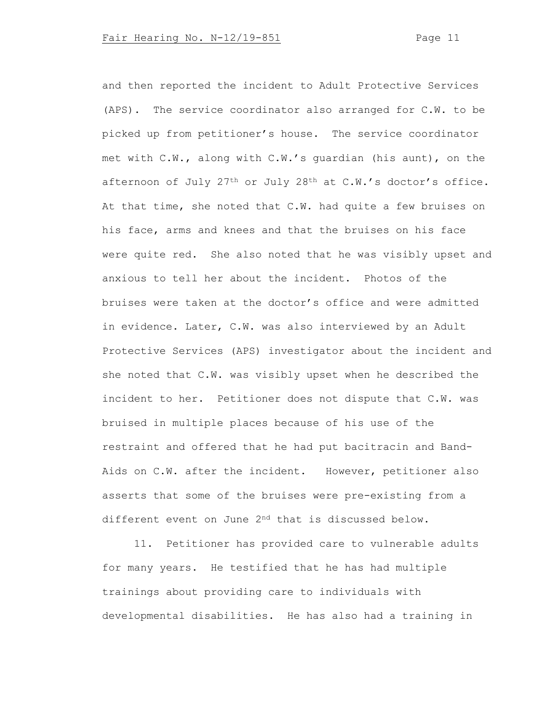and then reported the incident to Adult Protective Services (APS). The service coordinator also arranged for C.W. to be picked up from petitioner's house. The service coordinator met with C.W., along with C.W.'s guardian (his aunt), on the afternoon of July 27th or July 28th at C.W.'s doctor's office. At that time, she noted that C.W. had quite a few bruises on his face, arms and knees and that the bruises on his face were quite red. She also noted that he was visibly upset and anxious to tell her about the incident. Photos of the bruises were taken at the doctor's office and were admitted in evidence. Later, C.W. was also interviewed by an Adult Protective Services (APS) investigator about the incident and she noted that C.W. was visibly upset when he described the incident to her.Petitioner does not dispute that C.W. was bruised in multiple places because of his use of the restraint and offered that he had put bacitracin and Band-Aids on C.W. after the incident. However, petitioner also asserts that some of the bruises were pre-existing from a different event on June 2nd that is discussed below.

11. Petitioner has provided care to vulnerable adults for many years. He testified that he has had multiple trainings about providing care to individuals with developmental disabilities. He has also had a training in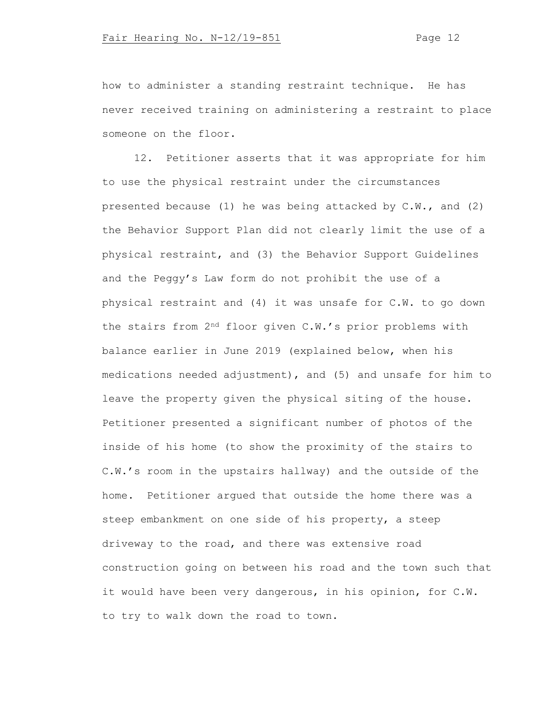how to administer a standing restraint technique. He has never received training on administering a restraint to place someone on the floor.

12. Petitioner asserts that it was appropriate for him to use the physical restraint under the circumstances presented because (1) he was being attacked by C.W., and (2) the Behavior Support Plan did not clearly limit the use of a physical restraint, and (3) the Behavior Support Guidelines and the Peggy's Law form do not prohibit the use of a physical restraint and (4) it was unsafe for C.W. to go down the stairs from 2nd floor given C.W.'s prior problems with balance earlier in June 2019 (explained below, when his medications needed adjustment), and (5) and unsafe for him to leave the property given the physical siting of the house. Petitioner presented a significant number of photos of the inside of his home (to show the proximity of the stairs to C.W.'s room in the upstairs hallway) and the outside of the home. Petitioner argued that outside the home there was a steep embankment on one side of his property, a steep driveway to the road, and there was extensive road construction going on between his road and the town such that it would have been very dangerous, in his opinion, for C.W. to try to walk down the road to town.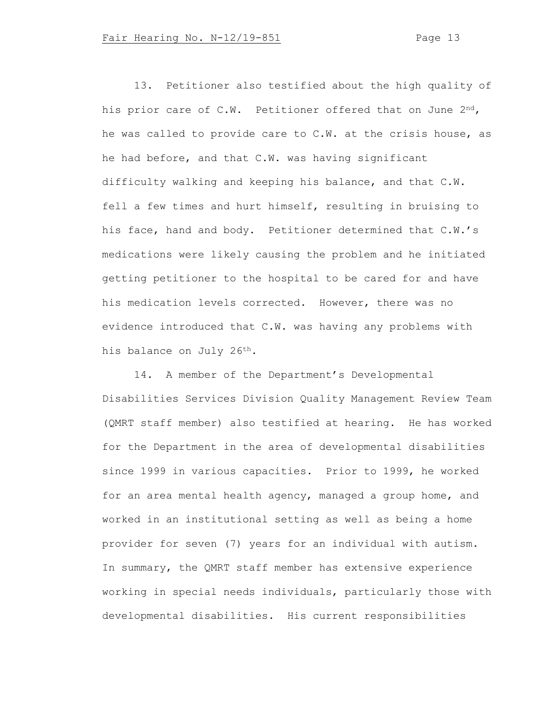13. Petitioner also testified about the high quality of his prior care of C.W. Petitioner offered that on June 2nd, he was called to provide care to C.W. at the crisis house, as he had before, and that C.W. was having significant difficulty walking and keeping his balance, and that C.W. fell a few times and hurt himself, resulting in bruising to his face, hand and body. Petitioner determined that C.W.'s medications were likely causing the problem and he initiated getting petitioner to the hospital to be cared for and have his medication levels corrected. However, there was no evidence introduced that C.W. was having any problems with his balance on July 26<sup>th</sup>.

14. A member of the Department's Developmental Disabilities Services Division Quality Management Review Team (QMRT staff member) also testified at hearing. He has worked for the Department in the area of developmental disabilities since 1999 in various capacities. Prior to 1999, he worked for an area mental health agency, managed a group home, and worked in an institutional setting as well as being a home provider for seven (7) years for an individual with autism. In summary, the QMRT staff member has extensive experience working in special needs individuals, particularly those with developmental disabilities. His current responsibilities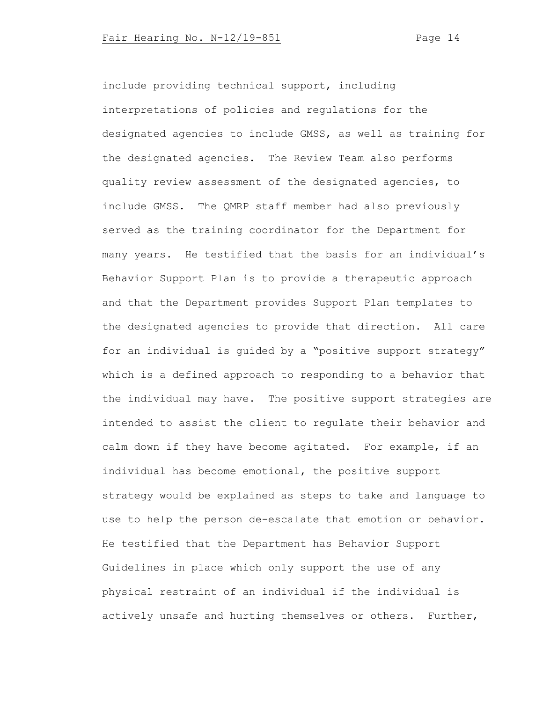include providing technical support, including interpretations of policies and regulations for the designated agencies to include GMSS, as well as training for the designated agencies. The Review Team also performs quality review assessment of the designated agencies, to include GMSS. The QMRP staff member had also previously served as the training coordinator for the Department for many years. He testified that the basis for an individual's Behavior Support Plan is to provide a therapeutic approach and that the Department provides Support Plan templates to the designated agencies to provide that direction. All care for an individual is guided by a "positive support strategy" which is a defined approach to responding to a behavior that the individual may have. The positive support strategies are intended to assist the client to regulate their behavior and calm down if they have become agitated. For example, if an individual has become emotional, the positive support strategy would be explained as steps to take and language to use to help the person de-escalate that emotion or behavior. He testified that the Department has Behavior Support Guidelines in place which only support the use of any physical restraint of an individual if the individual is actively unsafe and hurting themselves or others. Further,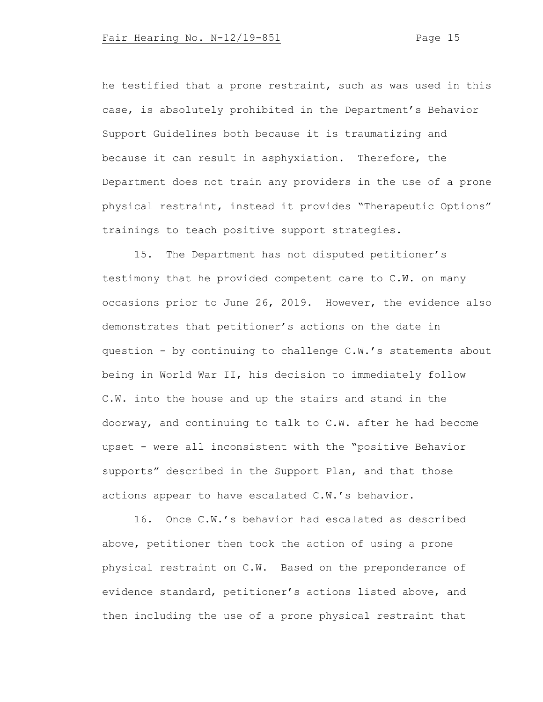he testified that a prone restraint, such as was used in this case, is absolutely prohibited in the Department's Behavior Support Guidelines both because it is traumatizing and because it can result in asphyxiation. Therefore, the Department does not train any providers in the use of a prone physical restraint, instead it provides "Therapeutic Options" trainings to teach positive support strategies.

15. The Department has not disputed petitioner's testimony that he provided competent care to C.W. on many occasions prior to June 26, 2019. However, the evidence also demonstrates that petitioner's actions on the date in question - by continuing to challenge C.W.'s statements about being in World War II, his decision to immediately follow C.W. into the house and up the stairs and stand in the doorway, and continuing to talk to C.W. after he had become upset - were all inconsistent with the "positive Behavior supports" described in the Support Plan, and that those actions appear to have escalated C.W.'s behavior.

16. Once C.W.'s behavior had escalated as described above, petitioner then took the action of using a prone physical restraint on C.W. Based on the preponderance of evidence standard, petitioner's actions listed above, and then including the use of a prone physical restraint that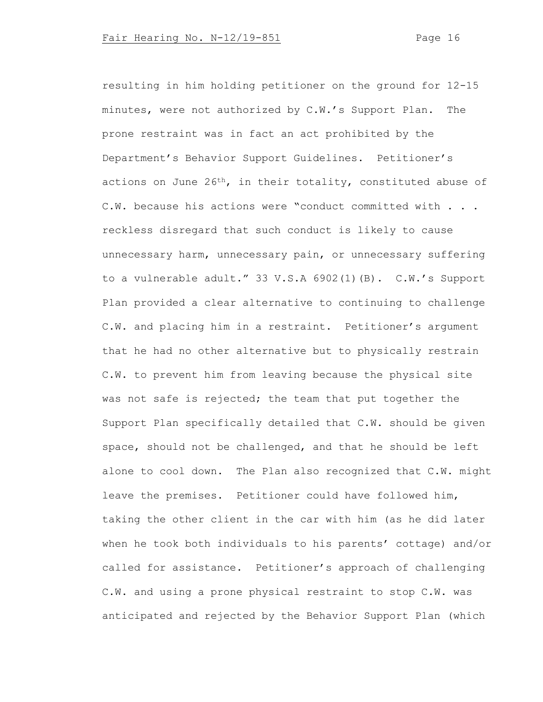resulting in him holding petitioner on the ground for 12-15 minutes, were not authorized by C.W.'s Support Plan. The prone restraint was in fact an act prohibited by the Department's Behavior Support Guidelines. Petitioner's actions on June 26th, in their totality, constituted abuse of C.W. because his actions were "conduct committed with . . . reckless disregard that such conduct is likely to cause unnecessary harm, unnecessary pain, or unnecessary suffering to a vulnerable adult." 33 V.S.A 6902(1)(B). C.W.'s Support Plan provided a clear alternative to continuing to challenge C.W. and placing him in a restraint. Petitioner's argument that he had no other alternative but to physically restrain C.W. to prevent him from leaving because the physical site was not safe is rejected; the team that put together the Support Plan specifically detailed that C.W. should be given space, should not be challenged, and that he should be left alone to cool down. The Plan also recognized that C.W. might leave the premises. Petitioner could have followed him, taking the other client in the car with him (as he did later when he took both individuals to his parents' cottage) and/or called for assistance. Petitioner's approach of challenging C.W. and using a prone physical restraint to stop C.W. was anticipated and rejected by the Behavior Support Plan (which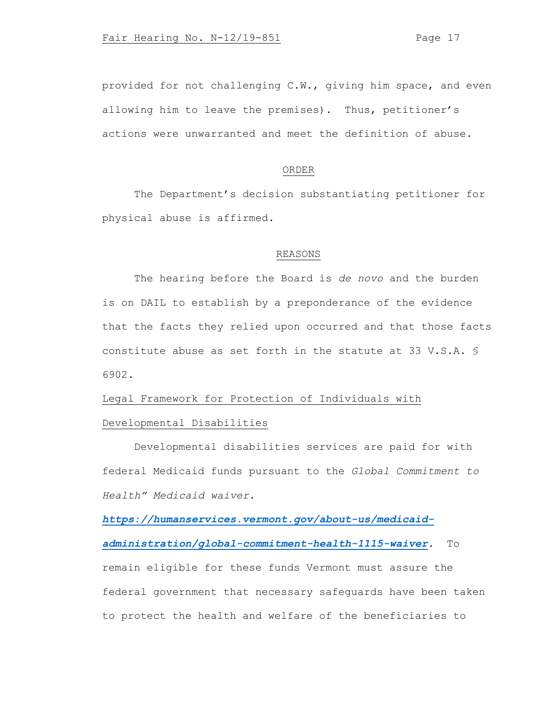provided for not challenging C.W., giving him space, and even allowing him to leave the premises). Thus, petitioner's actions were unwarranted and meet the definition of abuse.

## ORDER

The Department's decision substantiating petitioner for physical abuse is affirmed.

#### REASONS

The hearing before the Board is *de novo* and the burden is on DAIL to establish by a preponderance of the evidence that the facts they relied upon occurred and that those facts constitute abuse as set forth in the statute at 33 V.S.A. § 6902.

# Legal Framework for Protection of Individuals with Developmental Disabilities

Developmental disabilities services are paid for with federal Medicaid funds pursuant to the *Global Commitment to Health" Medicaid waiver.*

*[https://humanservices.vermont.gov/about-us/medicaid](https://humanservices.vermont.gov/about-us/medicaid-administration/global-commitment-health-1115-waiver)[administration/global-commitment-health-1115-waiver](https://humanservices.vermont.gov/about-us/medicaid-administration/global-commitment-health-1115-waiver).* To remain eligible for these funds Vermont must assure the federal government that necessary safeguards have been taken to protect the health and welfare of the beneficiaries to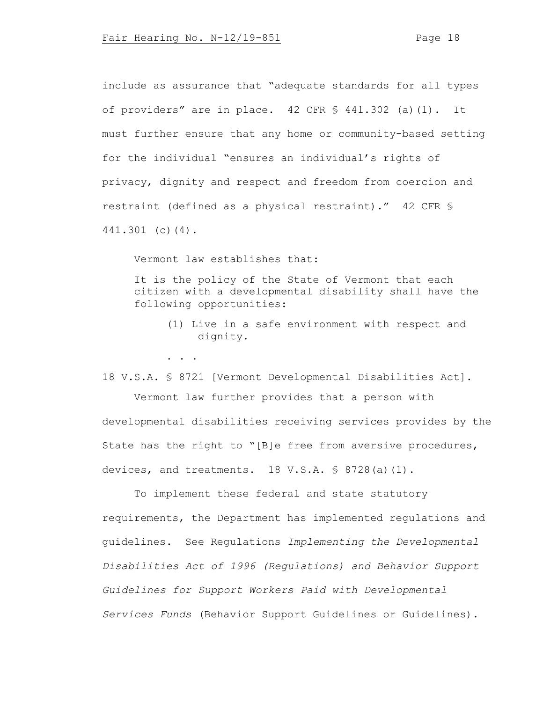include as assurance that "adequate standards for all types of providers" are in place. 42 CFR § 441.302 (a)(1). It must further ensure that any home or community-based setting for the individual "ensures an individual's rights of privacy, dignity and respect and freedom from coercion and restraint (defined as a physical restraint)." 42 CFR § 441.301 (c)(4).

Vermont law establishes that:

It is the policy of the State of Vermont that each citizen with a developmental disability shall have the following opportunities:

- (1) Live in a safe environment with respect and dignity.
- . . .

18 V.S.A. § 8721 [Vermont Developmental Disabilities Act].

Vermont law further provides that a person with developmental disabilities receiving services provides by the State has the right to "[B]e free from aversive procedures, devices, and treatments. 18 V.S.A. § 8728(a)(1).

To implement these federal and state statutory requirements, the Department has implemented regulations and guidelines. See Regulations *Implementing the Developmental Disabilities Act of 1996 (Regulations) and Behavior Support Guidelines for Support Workers Paid with Developmental Services Funds* (Behavior Support Guidelines or Guidelines).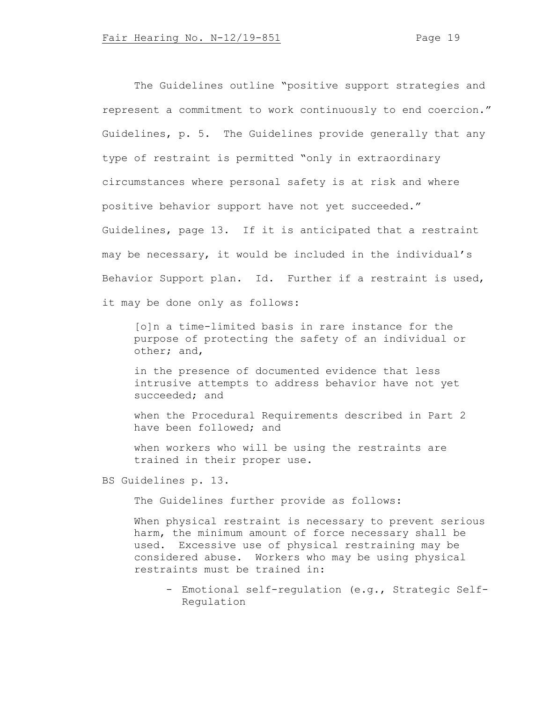The Guidelines outline "positive support strategies and represent a commitment to work continuously to end coercion." Guidelines, p. 5. The Guidelines provide generally that any type of restraint is permitted "only in extraordinary circumstances where personal safety is at risk and where positive behavior support have not yet succeeded." Guidelines, page 13. If it is anticipated that a restraint may be necessary, it would be included in the individual's Behavior Support plan. Id. Further if a restraint is used, it may be done only as follows:

[o]n a time-limited basis in rare instance for the purpose of protecting the safety of an individual or other; and,

in the presence of documented evidence that less intrusive attempts to address behavior have not yet succeeded; and

when the Procedural Requirements described in Part 2 have been followed; and

when workers who will be using the restraints are trained in their proper use.

BS Guidelines p. 13.

The Guidelines further provide as follows:

When physical restraint is necessary to prevent serious harm, the minimum amount of force necessary shall be used. Excessive use of physical restraining may be considered abuse. Workers who may be using physical restraints must be trained in:

- Emotional self-regulation (e.g., Strategic Self-Regulation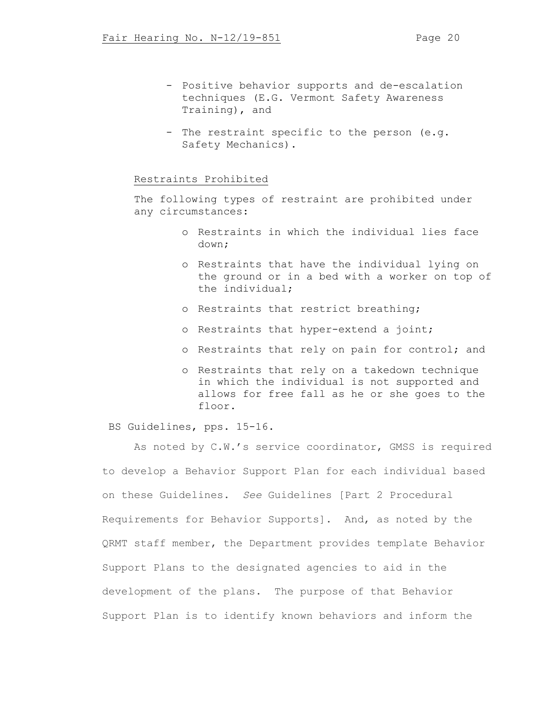- Positive behavior supports and de-escalation techniques (E.G. Vermont Safety Awareness Training), and
- The restraint specific to the person (e.g. Safety Mechanics).

#### Restraints Prohibited

The following types of restraint are prohibited under any circumstances:

- o Restraints in which the individual lies face down;
- o Restraints that have the individual lying on the ground or in a bed with a worker on top of the individual;
- o Restraints that restrict breathing;
- o Restraints that hyper-extend a joint;
- o Restraints that rely on pain for control; and
- o Restraints that rely on a takedown technique in which the individual is not supported and allows for free fall as he or she goes to the floor.

BS Guidelines, pps. 15-16.

As noted by C.W.'s service coordinator, GMSS is required to develop a Behavior Support Plan for each individual based on these Guidelines. *See* Guidelines [Part 2 Procedural Requirements for Behavior Supports]. And, as noted by the QRMT staff member, the Department provides template Behavior Support Plans to the designated agencies to aid in the development of the plans. The purpose of that Behavior Support Plan is to identify known behaviors and inform the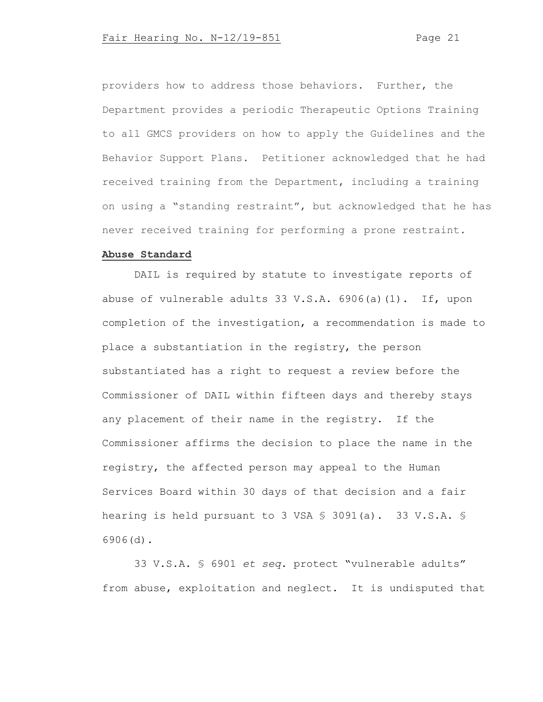providers how to address those behaviors. Further, the Department provides a periodic Therapeutic Options Training to all GMCS providers on how to apply the Guidelines and the Behavior Support Plans. Petitioner acknowledged that he had received training from the Department, including a training on using a "standing restraint", but acknowledged that he has never received training for performing a prone restraint.

#### **Abuse Standard**

DAIL is required by statute to investigate reports of abuse of vulnerable adults 33 V.S.A. 6906(a)(1). If, upon completion of the investigation, a recommendation is made to place a substantiation in the registry, the person substantiated has a right to request a review before the Commissioner of DAIL within fifteen days and thereby stays any placement of their name in the registry. If the Commissioner affirms the decision to place the name in the registry, the affected person may appeal to the Human Services Board within 30 days of that decision and a fair hearing is held pursuant to 3 VSA § 3091(a). 33 V.S.A. § 6906(d).

33 V.S.A. § 6901 *et seq*. protect "vulnerable adults" from abuse, exploitation and neglect. It is undisputed that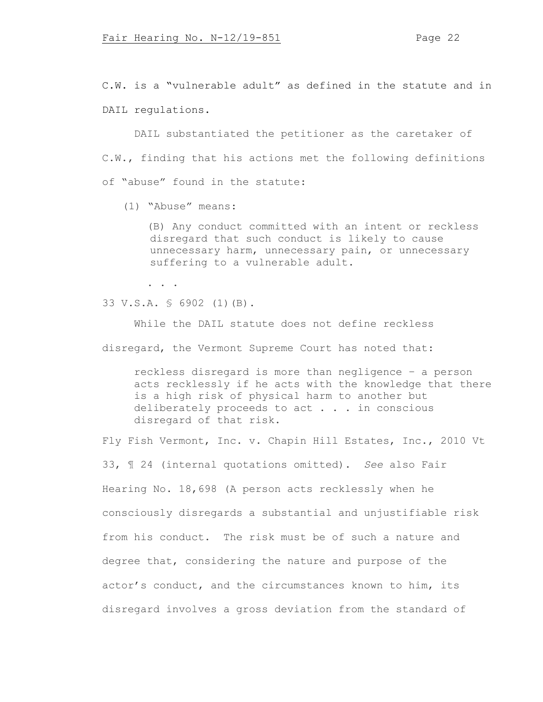C.W. is a "vulnerable adult" as defined in the statute and in DAIL regulations.

DAIL substantiated the petitioner as the caretaker of C.W., finding that his actions met the following definitions of "abuse" found in the statute:

(1) "Abuse" means:

(B) Any conduct committed with an intent or reckless disregard that such conduct is likely to cause unnecessary harm, unnecessary pain, or unnecessary suffering to a vulnerable adult.

. . .

33 V.S.A. § 6902 (1)(B).

While the DAIL statute does not define reckless disregard, the Vermont Supreme Court has noted that:

reckless disregard is more than negligence – a person acts recklessly if he acts with the knowledge that there is a high risk of physical harm to another but deliberately proceeds to act . . . in conscious disregard of that risk.

Fly Fish Vermont, Inc. v. Chapin Hill Estates, Inc., 2010 Vt 33, ¶ 24 (internal quotations omitted). *See* also Fair Hearing No. 18,698 (A person acts recklessly when he consciously disregards a substantial and unjustifiable risk from his conduct. The risk must be of such a nature and degree that, considering the nature and purpose of the actor's conduct, and the circumstances known to him, its disregard involves a gross deviation from the standard of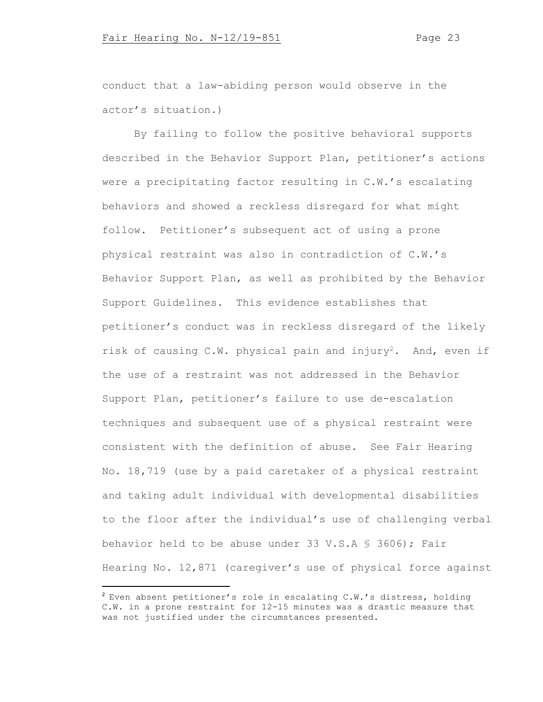conduct that a law-abiding person would observe in the actor's situation.)

By failing to follow the positive behavioral supports described in the Behavior Support Plan, petitioner's actions were a precipitating factor resulting in C.W.'s escalating behaviors and showed a reckless disregard for what might follow. Petitioner's subsequent act of using a prone physical restraint was also in contradiction of C.W.'s Behavior Support Plan, as well as prohibited by the Behavior Support Guidelines. This evidence establishes that petitioner's conduct was in reckless disregard of the likely risk of causing C.W. physical pain and injury<sup>2</sup>. And, even if the use of a restraint was not addressed in the Behavior Support Plan, petitioner's failure to use de-escalation techniques and subsequent use of a physical restraint were consistent with the definition of abuse. See Fair Hearing No. 18,719 (use by a paid caretaker of a physical restraint and taking adult individual with developmental disabilities to the floor after the individual's use of challenging verbal behavior held to be abuse under 33 V.S.A § 3606); Fair Hearing No. 12,871 (caregiver's use of physical force against

<sup>&</sup>lt;sup>2</sup> Even absent petitioner's role in escalating C.W.'s distress, holding C.W. in a prone restraint for 12-15 minutes was a drastic measure that was not justified under the circumstances presented.